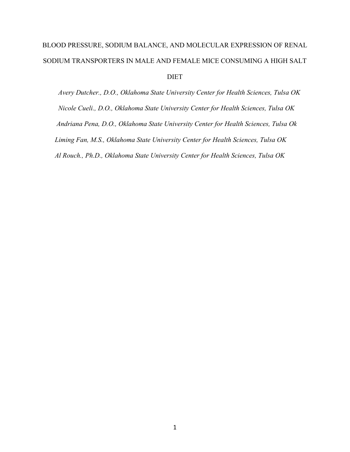# BLOOD PRESSURE, SODIUM BALANCE, AND MOLECULAR EXPRESSION OF RENAL SODIUM TRANSPORTERS IN MALE AND FEMALE MICE CONSUMING A HIGH SALT DIET

 *Avery Dutcher., D.O., Oklahoma State University Center for Health Sciences, Tulsa OK Nicole Cueli., D.O., Oklahoma State University Center for Health Sciences, Tulsa OK Andriana Pena, D.O., Oklahoma State University Center for Health Sciences, Tulsa Ok Liming Fan, M.S., Oklahoma State University Center for Health Sciences, Tulsa OK Al Rouch., Ph.D., Oklahoma State University Center for Health Sciences, Tulsa OK*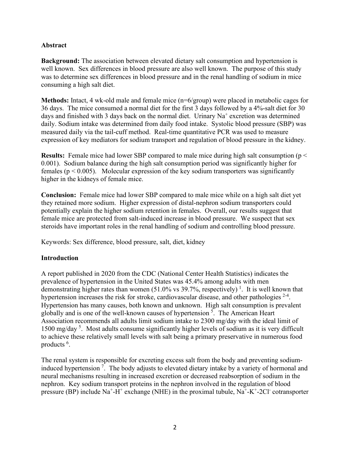### **Abstract**

**Background:** The association between elevated dietary salt consumption and hypertension is well known. Sex differences in blood pressure are also well known. The purpose of this study was to determine sex differences in blood pressure and in the renal handling of sodium in mice consuming a high salt diet.

**Methods:** Intact, 4 wk-old male and female mice (n=6/group) were placed in metabolic cages for 36 days. The mice consumed a normal diet for the first 3 days followed by a 4%-salt diet for 30 days and finished with 3 days back on the normal diet. Urinary  $Na<sup>+</sup>$  excretion was determined daily. Sodium intake was determined from daily food intake. Systolic blood pressure (SBP) was measured daily via the tail-cuff method. Real-time quantitative PCR was used to measure expression of key mediators for sodium transport and regulation of blood pressure in the kidney.

**Results:** Female mice had lower SBP compared to male mice during high salt consumption (p < 0.001). Sodium balance during the high salt consumption period was significantly higher for females ( $p < 0.005$ ). Molecular expression of the key sodium transporters was significantly higher in the kidneys of female mice.

**Conclusion:** Female mice had lower SBP compared to male mice while on a high salt diet yet they retained more sodium. Higher expression of distal-nephron sodium transporters could potentially explain the higher sodium retention in females. Overall, our results suggest that female mice are protected from salt-induced increase in blood pressure. We suspect that sex steroids have important roles in the renal handling of sodium and controlling blood pressure.

Keywords: Sex difference, blood pressure, salt, diet, kidney

#### **Introduction**

A report published in 2020 from the CDC (National Center Health Statistics) indicates the prevalence of hypertension in the United States was 45.4% among adults with men demonstrating higher rates than women (51.0% vs 39.7%, respectively)<sup>1</sup>. It is well known that hypertension increases the risk for stroke, cardiovascular disease, and other pathologies  $2-4$ . Hypertension has many causes, both known and unknown. High salt consumption is prevalent globally and is one of the well-known causes of hypertension<sup>5</sup>. The American Heart Association recommends all adults limit sodium intake to 2300 mg/day with the ideal limit of 1500 mg/day<sup>5</sup>. Most adults consume significantly higher levels of sodium as it is very difficult to achieve these relatively small levels with salt being a primary preservative in numerous food products <sup>6</sup>.

The renal system is responsible for excreting excess salt from the body and preventing sodiuminduced hypertension<sup>7</sup>. The body adjusts to elevated dietary intake by a variety of hormonal and neural mechanisms resulting in increased excretion or decreased reabsorption of sodium in the nephron. Key sodium transport proteins in the nephron involved in the regulation of blood pressure (BP) include  $Na^+ - H^+$  exchange (NHE) in the proximal tubule,  $Na^+ - K^+ - 2Cl^-$  cotransporter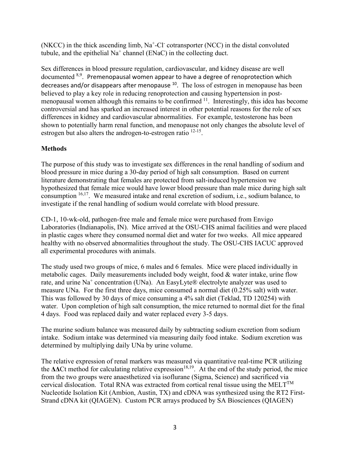$(NKCC)$  in the thick ascending limb,  $Na<sup>+</sup>-Cl<sup>-</sup>$  cotransporter  $(NCC)$  in the distal convoluted tubule, and the epithelial  $Na<sup>+</sup>$  channel (ENaC) in the collecting duct.

Sex differences in blood pressure regulation, cardiovascular, and kidney disease are well documented  $8,9$ . Premenopausal women appear to have a degree of renoprotection which decreases and/or disappears after menopause  $10$ . The loss of estrogen in menopause has been believed to play a key role in reducing renoprotection and causing hypertension in postmenopausal women although this remains to be confirmed 11. Interestingly, this idea has become controversial and has sparked an increased interest in other potential reasons for the role of sex differences in kidney and cardiovascular abnormalities. For example, testosterone has been shown to potentially harm renal function, and menopause not only changes the absolute level of estrogen but also alters the androgen-to-estrogen ratio <sup>12-15</sup>.

## **Methods**

The purpose of this study was to investigate sex differences in the renal handling of sodium and blood pressure in mice during a 30-day period of high salt consumption. Based on current literature demonstrating that females are protected from salt-induced hypertension we hypothesized that female mice would have lower blood pressure than male mice during high salt consumption <sup>16,17</sup>. We measured intake and renal excretion of sodium, i.e., sodium balance, to investigate if the renal handling of sodium would correlate with blood pressure.

CD-1, 10-wk-old, pathogen-free male and female mice were purchased from Envigo Laboratories (Indianapolis, IN). Mice arrived at the OSU-CHS animal facilities and were placed in plastic cages where they consumed normal diet and water for two weeks. All mice appeared healthy with no observed abnormalities throughout the study. The OSU-CHS IACUC approved all experimental procedures with animals.

The study used two groups of mice, 6 males and 6 females. Mice were placed individually in metabolic cages. Daily measurements included body weight, food & water intake, urine flow rate, and urine  $Na<sup>+</sup>$  concentration (UNa). An EasyLyte® electrolyte analyzer was used to measure UNa. For the first three days, mice consumed a normal diet (0.25% salt) with water. This was followed by 30 days of mice consuming a 4% salt diet (Teklad, TD 120254) with water. Upon completion of high salt consumption, the mice returned to normal diet for the final 4 days. Food was replaced daily and water replaced every 3-5 days.

The murine sodium balance was measured daily by subtracting sodium excretion from sodium intake. Sodium intake was determined via measuring daily food intake. Sodium excretion was determined by multiplying daily UNa by urine volume.

The relative expression of renal markers was measured via quantitative real-time PCR utilizing the **ΔΔ**Ct method for calculating relative expression<sup>18,19</sup>. At the end of the study period, the mice from the two groups were anaesthetized via isoflurane (Sigma, Science) and sacrificed via cervical dislocation. Total RNA was extracted from cortical renal tissue using the  $MELT^{TM}$ Nucleotide Isolation Kit (Ambion, Austin, TX) and cDNA was synthesized using the RT2 First-Strand cDNA kit (QIAGEN). Custom PCR arrays produced by SA Biosciences (QIAGEN)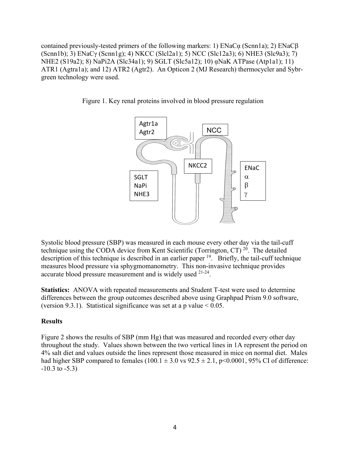contained previously-tested primers of the following markers: 1) ENaCᾳ (Scnn1a); 2) ENaCβ (Scnn1b); 3) ENaCγ (Scnn1g); 4) NKCC (Slcl2a1); 5) NCC (Slc12a3); 6) NHE3 (Slc9a3); 7) NHE2 (S19a2); 8) NaPi2A (Slc34a1); 9) SGLT (Slc5a12); 10) ᾳNaK ATPase (Atp1a1); 11) ATR1 (Agtra1a); and 12) ATR2 (Agtr2).An Opticon 2 (MJ Research) thermocycler and Sybrgreen technology were used.





Systolic blood pressure (SBP) was measured in each mouse every other day via the tail-cuff technique using the CODA device from Kent Scientific (Torrington, CT)<sup>20</sup>. The detailed description of this technique is described in an earlier paper <sup>19</sup>. Briefly, the tail-cuff technique measures blood pressure via sphygmomanometry. This non-invasive technique provides accurate blood pressure measurement and is widely used 21-24.

**Statistics:** ANOVA with repeated measurements and Student T-test were used to determine differences between the group outcomes described above using Graphpad Prism 9.0 software, (version 9.3.1). Statistical significance was set at a p value  $< 0.05$ .

#### **Results**

Figure 2 shows the results of SBP (mm Hg) that was measured and recorded every other day throughout the study. Values shown between the two vertical lines in 1A represent the period on 4% salt diet and values outside the lines represent those measured in mice on normal diet. Males had higher SBP compared to females (100.1  $\pm$  3.0 vs 92.5  $\pm$  2.1, p<0.0001, 95% CI of difference:  $-10.3$  to  $-5.3$ )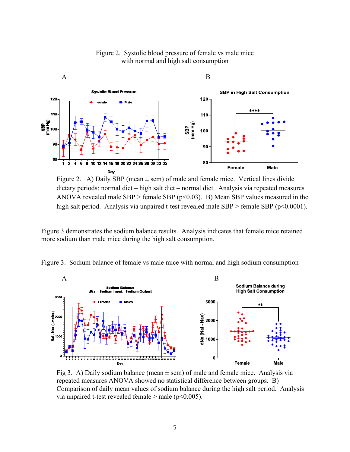

#### Figure 2. Systolic blood pressure of female vs male mice with normal and high salt consumption

Figure 2. A) Daily SBP (mean  $\pm$  sem) of male and female mice. Vertical lines divide dietary periods: normal diet – high salt diet – normal diet. Analysis via repeated measures ANOVA revealed male SBP > female SBP ( $p$ <0.03). B) Mean SBP values measured in the high salt period. Analysis via unpaired t-test revealed male  $SBP >$  female  $SBP$  (p<0.0001).

Figure 3 demonstrates the sodium balance results. Analysis indicates that female mice retained more sodium than male mice during the high salt consumption.





Fig 3. A) Daily sodium balance (mean  $\pm$  sem) of male and female mice. Analysis via repeated measures ANOVA showed no statistical difference between groups. B) Comparison of daily mean values of sodium balance during the high salt period. Analysis via unpaired t-test revealed female  $>$  male (p<0.005).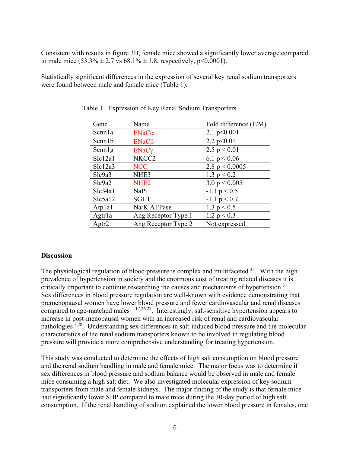Consistent with results in figure 3B, female mice showed a significantly lower average compared to male mice  $(53.3\% \pm 2.7 \text{ vs } 68.1\% \pm 1.8,$  respectively, p<0.0001).

Statistically significant differences in the expression of several key renal sodium transporters were found between male and female mice (Table 1).

| Gene    | Name                | Fold difference (F/M) |
|---------|---------------------|-----------------------|
| Scnnla  | $ENaC\alpha$        | 2.1 $p<0.001$         |
| Scm1b   | $ENaC\beta$         | 2.2 $p<0.01$          |
| Senn1g  | $ENaC\gamma$        | 2.5 $p < 0.01$        |
| Slc12a1 | NKCC2               | 6.1 $p < 0.06$        |
| Slc12a3 | <b>NCC</b>          | 2.8 $p < 0.0005$      |
| Slc9a3  | NHE <sub>3</sub>    | 1.3 $p < 0.2$         |
| Slc9a2  | NHE <sub>2</sub>    | 3.0 $p < 0.005$       |
| Slc34a1 | NaPi                | $-1.1 p < 0.5$        |
| Slc5a12 | <b>SGLT</b>         | $-1.1 p < 0.7$        |
| Atplal  | Na/K ATPase         | 1.3 $p < 0.5$         |
| Agtrla  | Ang Receptor Type 1 | 1.2 $p < 0.3$         |
| Agtr2   | Ang Receptor Type 2 | Not expressed         |

Table 1. Expression of Key Renal Sodium Transporters

#### **Discussion**

The physiological regulation of blood pressure is complex and multifaceted  $2^5$ . With the high prevalence of hypertension in society and the enormous cost of treating related diseases it is critically important to continue researching the causes and mechanisms of hypertension  $3$ . Sex differences in blood pressure regulation are well-known with evidence demonstrating that premenopausal women have lower blood pressure and fewer cardiovascular and renal diseases compared to age-matched males<sup>11,17,26,27</sup>. Interestingly, salt-sensitive hypertension appears to increase in post-menopausal women with an increased risk of renal and cardiovascular pathologies 5,28. Understanding sex differences in salt-induced blood pressure and the molecular characteristics of the renal sodium transporters known to be involved in regulating blood pressure will provide a more comprehensive understanding for treating hypertension.

This study was conducted to determine the effects of high salt consumption on blood pressure and the renal sodium handling in male and female mice. The major focus was to determine if sex differences in blood pressure and sodium balance would be observed in male and female mice consuming a high salt diet. We also investigated molecular expression of key sodium transporters from male and female kidneys. The major finding of the study is that female mice had significantly lower SBP compared to male mice during the 30-day period of high salt consumption. If the renal handling of sodium explained the lower blood pressure in females, one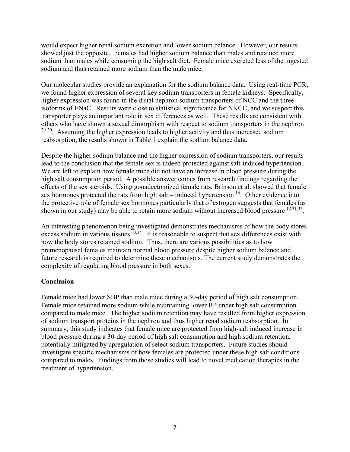would expect higher renal sodium excretion and lower sodium balance. However, our results showed just the opposite. Females had higher sodium balance than males and retained more sodium than males while consuming the high salt diet. Female mice excreted less of the ingested sodium and thus retained more sodium than the male mice.

Our molecular studies provide an explanation for the sodium balance data. Using real-time PCR, we found higher expression of several key sodium transporters in female kidneys. Specifically, higher expression was found in the distal nephron sodium transporters of NCC and the three isoforms of ENaC. Results were close to statistical significance for NKCC, and we suspect this transporter plays an important role in sex differences as well. These results are consistent with others who have shown a sexual dimorphism with respect to sodium transporters in the nephron  $2930$ . Assuming the higher expression leads to higher activity and thus increased sodium reabsorption, the results shown in Table 1 explain the sodium balance data.

Despite the higher sodium balance and the higher expression of sodium transporters, our results lead to the conclusion that the female sex is indeed protected against salt-induced hypertension. We are left to explain how female mice did not have an increase in blood pressure during the high salt consumption period. A possible answer comes from research findings regarding the effects of the sex steroids. Using gonadectomized female rats, Brinson et al. showed that female sex hormones protected the rats from high salt – induced hypertension  $16$ . Other evidence into the protective role of female sex hormones particularly that of estrogen suggests that females (as shown in our study) may be able to retain more sodium without increased blood pressure  $^{12,31,32}$ .

An interesting phenomenon being investigated demonstrates mechanisms of how the body stores excess sodium in various tissues  $\overline{3}^{3,34}$ . It is reasonable to suspect that sex differences exist with how the body stores retained sodium. Thus, there are various possibilities as to how premenopausal females maintain normal blood pressure despite higher sodium balance and future research is required to determine these mechanisms. The current study demonstrates the complexity of regulating blood pressure in both sexes.

#### **Conclusion**

Female mice had lower SBP than male mice during a 30-day period of high salt consumption. Female mice retained more sodium while maintaining lower BP under high salt consumption compared to male mice. The higher sodium retention may have resulted from higher expression of sodium transport proteins in the nephron and thus higher renal sodium reabsorption. In summary, this study indicates that female mice are protected from high-salt induced increase in blood pressure during a 30-day period of high salt consumption and high sodium retention, potentially mitigated by upregulation of select sodium transporters. Future studies should investigate specific mechanisms of how females are protected under these high salt conditions compared to males. Findings from those studies will lead to novel medication therapies in the treatment of hypertension.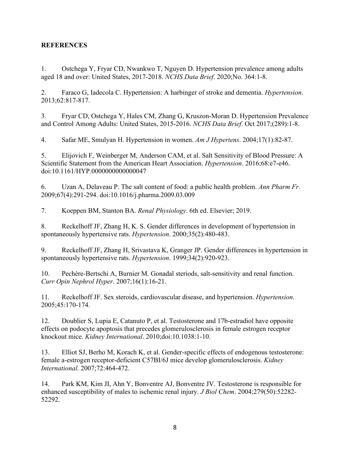### **REFERENCES**

1. Ostchega Y, Fryar CD, Nwankwo T, Nguyen D. Hypertension prevalence among adults aged 18 and over: United States, 2017-2018. *NCHS Data Brief*. 2020;No. 364:1-8.

2. Faraco G, Iadecola C. Hypertension: A harbinger of stroke and dementia. *Hypertension*. 2013;62:817-817.

3. Fryar CD, Ostchega Y, Hales CM, Zhang G, Kruszon-Moran D. Hypertension Prevalence and Control Among Adults: United States, 2015-2016. *NCHS Data Brief*. Oct 2017;(289):1-8.

4. Safar ME, Smulyan H. Hypertension in women. *Am J Hypertens*. 2004;17(1):82-87.

5. Elijovich F, Weinberger M, Anderson CAM, et al. Salt Sensitivity of Blood Pressure: A Scientific Statement from the American Heart Association. *Hypertension*. 2016;68:e7-e46. doi:10.1161/HYP.0000000000000047

6. Uzan A, Delaveau P. The salt content of food: a public health problem. *Ann Pharm Fr*. 2009;67(4):291-294. doi:10.1016/j.pharma.2009.03.009

7. Koeppen BM, Stanton BA. *Renal Physiology*. 6th ed. Elsevier; 2019.

8. Reckelhoff JF, Zhang H, K. S. Gender differences in development of hypertension in spontaneously hypertensive rats. *Hypertension*. 2000;35(2):480-483.

9. Reckelhoff JF, Zhang H, Srivastava K, Granger JP. Gender differences in hypertension in spontaneously hypertensive rats. *Hypertension*. 1999;34(2):920-923.

10. Pechère-Bertschi A, Burnier M. Gonadal steriods, salt-sensitivity and renal function. *Curr Opin Nephrol Hyper*. 2007;16(1):16-21.

11. Reckelhoff JF. Sex steroids, cardiovascular disease, and hypertension. *Hypertension*. 2005;45:170-174.

12. Doublier S, Lupia E, Catanuto P, et al. Testosterone and 17b-estradiol have opposite effects on podocyte apoptosis that precedes glomerulosclerosis in female estrogen receptor knockout mice. *Kidney International*. 2010;doi:10.1038:1-10.

13. Elliot SJ, Berho M, Korach K, et al. Gender-specific effects of endogenous testosterone: female a-estrogen receptor-deficient C57BI/6J mice develop glomerulosclerosis. *Kidney International*. 2007;72:464-472.

14. Park KM, Kim JI, Ahn Y, Bonventre AJ, Bonventre JV. Testosterone is responsible for enhanced susceptibility of males to ischemic renal injury. *J Biol Chem*. 2004;279(50):52282- 52292.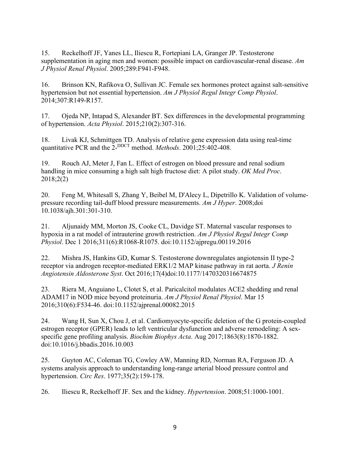15. Reckelhoff JF, Yanes LL, Iliescu R, Fortepiani LA, Granger JP. Testosterone supplementation in aging men and women: possible impact on cardiovascular-renal disease. *Am J Physiol Renal Physiol*. 2005;289:F941-F948.

16. Brinson KN, Rafikova O, Sullivan JC. Female sex hormones protect against salt-sensitive hypertension but not essential hypertension. *Am J Physiol Regul Integr Comp Physiol*. 2014;307:R149-R157.

17. Ojeda NP, Intapad S, Alexander BT. Sex differences in the developmental programming of hypertension. *Acta Physiol*. 2015;210(2):307-316.

18. Livak KJ, Schmittgen TD. Analysis of relative gene expression data using real-time quantitative PCR and the 2-<sup>DDCT</sup> method. *Methods*. 2001;25:402-408.

19. Rouch AJ, Meter J, Fan L. Effect of estrogen on blood pressure and renal sodium handling in mice consuming a high salt high fructose diet: A pilot study. *OK Med Proc*. 2018;2(2)

20. Feng M, Whitesall S, Zhang Y, Beibel M, D'Alecy L, Dipetrillo K. Validation of volumepressure recording tail-duff blood pressure measurements. *Am J Hyper*. 2008;doi 10.1038/ajh.301:301-310.

21. Aljunaidy MM, Morton JS, Cooke CL, Davidge ST. Maternal vascular responses to hypoxia in a rat model of intrauterine growth restriction. *Am J Physiol Regul Integr Comp Physiol*. Dec 1 2016;311(6):R1068-R1075. doi:10.1152/ajpregu.00119.2016

22. Mishra JS, Hankins GD, Kumar S. Testosterone downregulates angiotensin II type-2 receptor via androgen receptor-mediated ERK1/2 MAP kinase pathway in rat aorta. *J Renin Angiotensin Aldosterone Syst*. Oct 2016;17(4)doi:10.1177/1470320316674875

23. Riera M, Anguiano L, Clotet S, et al. Paricalcitol modulates ACE2 shedding and renal ADAM17 in NOD mice beyond proteinuria. *Am J Physiol Renal Physiol*. Mar 15 2016;310(6):F534-46. doi:10.1152/ajprenal.00082.2015

24. Wang H, Sun X, Chou J, et al. Cardiomyocyte-specific deletion of the G protein-coupled estrogen receptor (GPER) leads to left ventricular dysfunction and adverse remodeling: A sexspecific gene profiling analysis. *Biochim Biophys Acta*. Aug 2017;1863(8):1870-1882. doi:10.1016/j.bbadis.2016.10.003

25. Guyton AC, Coleman TG, Cowley AW, Manning RD, Norman RA, Ferguson JD. A systems analysis approach to understanding long-range arterial blood pressure control and hypertension. *Circ Res*. 1977;35(2):159-178.

26. Iliescu R, Reckelhoff JF. Sex and the kidney. *Hypertension*. 2008;51:1000-1001.